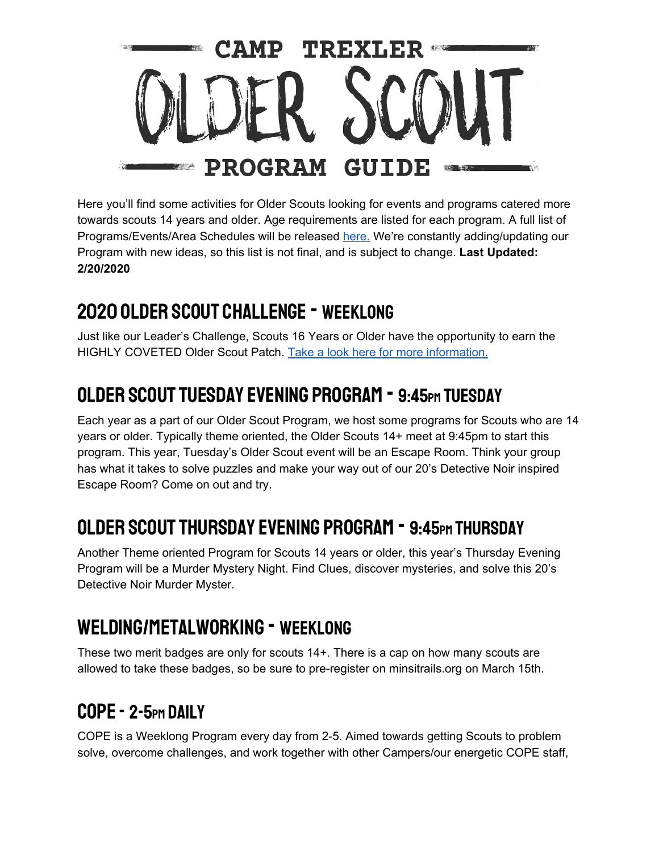

Here you'll find some activities for Older Scouts looking for events and programs catered more towards scouts 14 years and older. Age requirements are listed for each program. A full list of Programs/Events/Area Schedules will be released here. We're constantly adding/updating our Program with new ideas, so this list is not final, and is subject to change. **Last Updated: 2/20/2020**

## 2020 Older Scout Challenge - Weeklong

Just like our Leader's Challenge, Scouts 16 Years or Older have the opportunity to earn the HIGHLY COVETED Older Scout Patch. Take a look here for more information.

# Older Scout Tuesday Evening Program - 9:45pm Tuesday

Each year as a part of our Older Scout Program, we host some programs for Scouts who are 14 years or older. Typically theme oriented, the Older Scouts 14+ meet at 9:45pm to start this program. This year, Tuesday's Older Scout event will be an Escape Room. Think your group has what it takes to solve puzzles and make your way out of our 20's Detective Noir inspired Escape Room? Come on out and try.

## Older Scout THursday Evening Program - 9:45pm Thursday

Another Theme oriented Program for Scouts 14 years or older, this year's Thursday Evening Program will be a Murder Mystery Night. Find Clues, discover mysteries, and solve this 20's Detective Noir Murder Myster.

# Welding/Metalworking - Weeklong

These two merit badges are only for scouts 14+. There is a cap on how many scouts are allowed to take these badges, so be sure to pre-register on minsitrails.org on March 15th.

# COPE - 2-5<sub>pm</sub> DAII Y

COPE is a Weeklong Program every day from 2-5. Aimed towards getting Scouts to problem solve, overcome challenges, and work together with other Campers/our energetic COPE staff,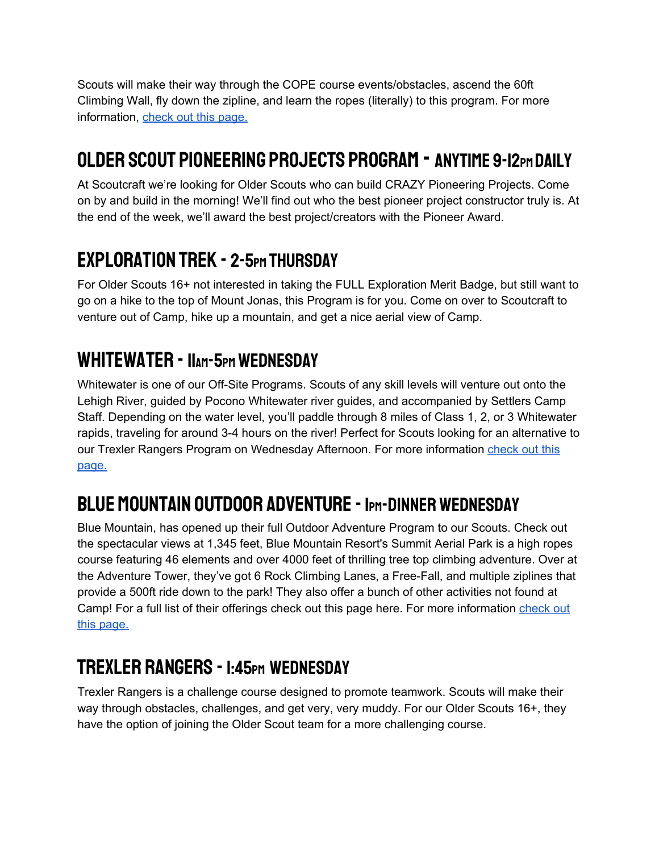Scouts will make their way through the COPE course events/obstacles, ascend the 60ft Climbing Wall, fly down the zipline, and learn the ropes (literally) to this program. For more information, check out this page.

## Older Scout Pioneering Projects Program - anytime 9-12pm Daily

At Scoutcraft we're looking for Older Scouts who can build CRAZY Pioneering Projects. Come on by and build in the morning! We'll find out who the best pioneer project constructor truly is. At the end of the week, we'll award the best project/creators with the Pioneer Award.

#### Exploration Trek - 2-5pm Thursday

For Older Scouts 16+ not interested in taking the FULL Exploration Merit Badge, but still want to go on a hike to the top of Mount Jonas, this Program is for you. Come on over to Scoutcraft to venture out of Camp, hike up a mountain, and get a nice aerial view of Camp.

#### WHITEWATER - IIAM-5PM WEDNESDAY

Whitewater is one of our Off-Site Programs. Scouts of any skill levels will venture out onto the Lehigh River, guided by Pocono Whitewater river guides, and accompanied by Settlers Camp Staff. Depending on the water level, you'll paddle through 8 miles of Class 1, 2, or 3 Whitewater rapids, traveling for around 3-4 hours on the river! Perfect for Scouts looking for an alternative to our Trexler Rangers Program on Wednesday Afternoon. For more information check out this page.

# BLUE MOUNTAIN OUTDOOR ADVENTURE - IPM-DINNER WEDNESDAY

Blue Mountain, has opened up their full Outdoor Adventure Program to our Scouts. Check out the spectacular views at 1,345 feet, Blue Mountain Resort's Summit Aerial Park is a high ropes course featuring 46 elements and over 4000 feet of thrilling tree top climbing adventure. Over at the Adventure Tower, they've got 6 Rock Climbing Lanes, a Free-Fall, and multiple ziplines that provide a 500ft ride down to the park! They also offer a bunch of other activities not found at Camp! For a full list of their offerings check out this page here. For more information check out this page.

## Trexler Rangers - 1:45pm Wednesday

Trexler Rangers is a challenge course designed to promote teamwork. Scouts will make their way through obstacles, challenges, and get very, very muddy. For our Older Scouts 16+, they have the option of joining the Older Scout team for a more challenging course.